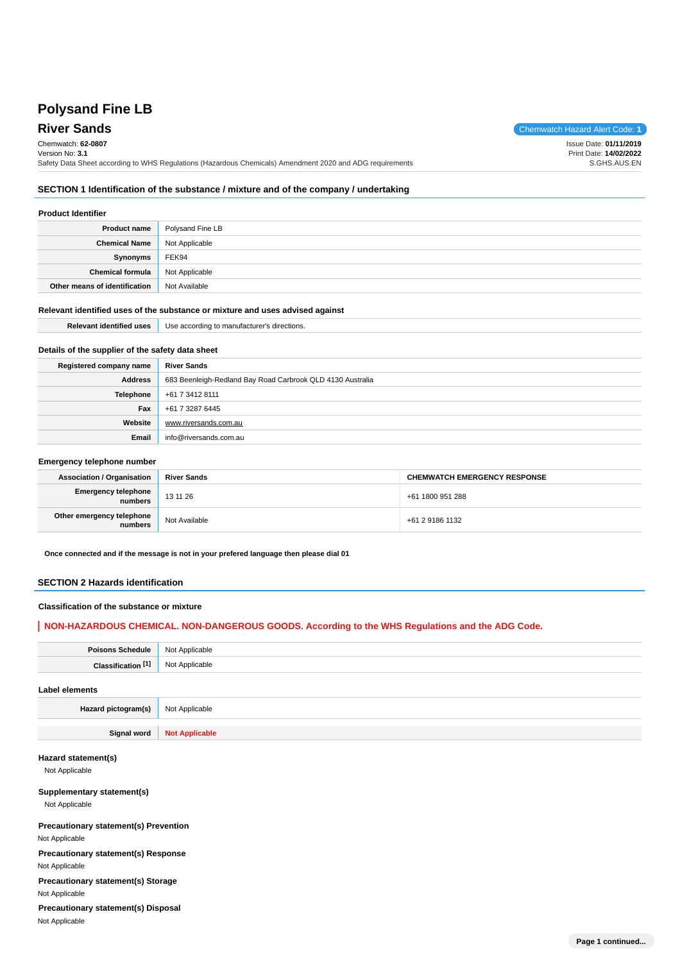# **Polysand Fine LB**

**River Sands** Chemwatch Hazard Alert Code: **1** 

Chemwatch: **62-0807**

Version No: **3.1** Safety Data Sheet according to WHS Regulations (Hazardous Chemicals) Amendment 2020 and ADG requirements Issue Date: **01/11/2019** Print Date: **14/02/2022** S.GHS.AUS.EN

### **SECTION 1 Identification of the substance / mixture and of the company / undertaking**

#### **Product Identifier**

| <b>Product name</b>           | Polysand Fine LB |
|-------------------------------|------------------|
| <b>Chemical Name</b>          | Not Applicable   |
| Synonyms                      | FEK94            |
| <b>Chemical formula</b>       | Not Applicable   |
| Other means of identification | Not Available    |

### **Relevant identified uses of the substance or mixture and uses advised against**

| <b>Relevant identified uses</b>                  | Use according to manufacturer's directions.                |  |  |  |
|--------------------------------------------------|------------------------------------------------------------|--|--|--|
| Details of the supplier of the safety data sheet |                                                            |  |  |  |
| Registered company name                          | <b>River Sands</b>                                         |  |  |  |
| <b>Address</b>                                   | 683 Beenleigh-Redland Bay Road Carbrook QLD 4130 Australia |  |  |  |
| Telephone                                        | +61 7 3412 8111                                            |  |  |  |
| Fax                                              | +61 7 3287 6445                                            |  |  |  |
| Website                                          | www.riversands.com.au                                      |  |  |  |
| Email                                            | info@riversands.com.au                                     |  |  |  |

#### **Emergency telephone number**

| <b>Association / Organisation</b>    | <b>River Sands</b> | <b>CHEMWATCH EMERGENCY RESPONSE</b> |  |  |
|--------------------------------------|--------------------|-------------------------------------|--|--|
| Emergency telephone<br>numbers       | 13 11 26           | +61 1800 951 288                    |  |  |
| Other emergency telephone<br>numbers | Not Available      | +61 2 9186 1132                     |  |  |

**Once connected and if the message is not in your prefered language then please dial 01**

### **SECTION 2 Hazards identification**

### **Classification of the substance or mixture**

### **NON-HAZARDOUS CHEMICAL. NON-DANGEROUS GOODS. According to the WHS Regulations and the ADG Code.**

| $m$ ente<br> | <b>N<sub>IO</sub></b> |
|--------------|-----------------------|
|              | N <sub>10</sub>       |
|              |                       |

#### **Label elements**

**Hazard pictogram(s)** Not Applicable

**Signal word Not Applicable**

### **Hazard statement(s)**

Not Applicable

### **Supplementary statement(s)**

Not Applicable

**Precautionary statement(s) Prevention** Not Applicable

**Precautionary statement(s) Response** Not Applicable

**Precautionary statement(s) Storage** Not Applicable

**Precautionary statement(s) Disposal** Not Applicable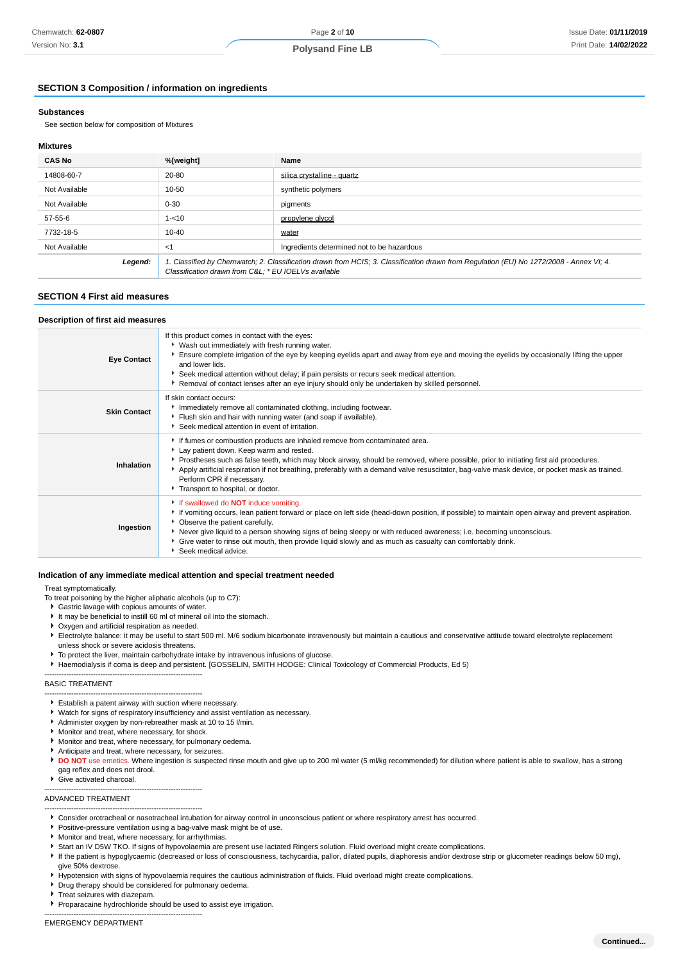### **Polysand Fine LB**

### **SECTION 3 Composition / information on ingredients**

### **Substances**

See section below for composition of Mixtures

#### **Mixtures**

| <b>CAS No</b> | %[weight]                                           | Name                                                                                                                                    |
|---------------|-----------------------------------------------------|-----------------------------------------------------------------------------------------------------------------------------------------|
| 14808-60-7    | 20-80                                               | silica crystalline - quartz                                                                                                             |
| Not Available | 10-50                                               | synthetic polymers                                                                                                                      |
| Not Available | $0 - 30$                                            | pigments                                                                                                                                |
| 57-55-6       | $1 - 10$                                            | propylene glycol                                                                                                                        |
| 7732-18-5     | $10 - 40$                                           | water                                                                                                                                   |
| Not Available | $<$ 1                                               | Ingredients determined not to be hazardous                                                                                              |
| Legend:       | Classification drawn from C&L * EU IOELVs available | 1. Classified by Chemwatch; 2. Classification drawn from HCIS; 3. Classification drawn from Regulation (EU) No 1272/2008 - Annex VI; 4. |

### **SECTION 4 First aid measures**

#### **Description of first aid measures**

| <b>Eye Contact</b>  | If this product comes in contact with the eyes:<br>▶ Wash out immediately with fresh running water.<br>Ensure complete irrigation of the eye by keeping eyelids apart and away from eye and moving the eyelids by occasionally lifting the upper<br>and lower lids.<br>Seek medical attention without delay; if pain persists or recurs seek medical attention.<br>Removal of contact lenses after an eye injury should only be undertaken by skilled personnel.                               |
|---------------------|------------------------------------------------------------------------------------------------------------------------------------------------------------------------------------------------------------------------------------------------------------------------------------------------------------------------------------------------------------------------------------------------------------------------------------------------------------------------------------------------|
| <b>Skin Contact</b> | If skin contact occurs:<br>Immediately remove all contaminated clothing, including footwear.<br>Flush skin and hair with running water (and soap if available).<br>Seek medical attention in event of irritation.                                                                                                                                                                                                                                                                              |
| Inhalation          | If fumes or combustion products are inhaled remove from contaminated area.<br>Lay patient down. Keep warm and rested.<br>▶ Prostheses such as false teeth, which may block airway, should be removed, where possible, prior to initiating first aid procedures.<br>Apply artificial respiration if not breathing, preferably with a demand valve resuscitator, bag-valve mask device, or pocket mask as trained.<br>Perform CPR if necessary.<br>Transport to hospital, or doctor.             |
| Ingestion           | If swallowed do <b>NOT</b> induce vomiting.<br>If vomiting occurs, lean patient forward or place on left side (head-down position, if possible) to maintain open airway and prevent aspiration.<br>• Observe the patient carefully.<br>▶ Never give liquid to a person showing signs of being sleepy or with reduced awareness; i.e. becoming unconscious.<br>Give water to rinse out mouth, then provide liquid slowly and as much as casualty can comfortably drink.<br>Seek medical advice. |

#### **Indication of any immediate medical attention and special treatment needed**

#### Treat symptomatically.

- To treat poisoning by the higher aliphatic alcohols (up to C7):
- Gastric lavage with copious amounts of water.
- It may be beneficial to instill 60 ml of mineral oil into the stomach.
- Oxygen and artificial respiration as needed.
- Electrolyte balance: it may be useful to start 500 ml. M/6 sodium bicarbonate intravenously but maintain a cautious and conservative attitude toward electrolyte replacement unless shock or severe acidosis threatens.
- $\blacktriangleright$  To protect the liver, maintain carbohydrate intake by intravenous infusions of glucose.
- Haemodialysis if coma is deep and persistent. [GOSSELIN, SMITH HODGE: Clinical Toxicology of Commercial Products, Ed 5)

#### ----------------------------------------------------------------- BASIC TREATMENT

- ----------------------------------------------------------------- Establish a patent airway with suction where necessary.
- ¥ Watch for signs of respiratory insufficiency and assist ventilation as necessary.
- Administer oxygen by non-rebreather mask at 10 to 15 l/min.
- **Monitor and treat, where necessary, for shock.**

-----------------------------------------------------------------

- **Monitor and treat, where necessary, for pulmonary oedema.**
- Anticipate and treat, where necessary, for seizures. ¥
- **DO NOT** use emetics. Where ingestion is suspected rinse mouth and give up to 200 ml water (5 ml/kg recommended) for dilution where patient is able to swallow, has a strong gag reflex and does not drool.
- Give activated charcoal.

### ADVANCED TREATMENT

- ----------------------------------------------------------------- Consider orotracheal or nasotracheal intubation for airway control in unconscious patient or where respiratory arrest has occurred.
- **Positive-pressure ventilation using a bag-valve mask might be of use.**
- **Monitor and treat, where necessary, for arrhythmias.**
- Start an IV D5W TKO. If signs of hypovolaemia are present use lactated Ringers solution. Fluid overload might create complications.
- If the patient is hypoglycaemic (decreased or loss of consciousness, tachycardia, pallor, dilated pupils, diaphoresis and/or dextrose strip or glucometer readings below 50 mg),
- give 50% dextrose.

-----------------------------------------------------------------

- Hypotension with signs of hypovolaemia requires the cautious administration of fluids. Fluid overload might create complications.
- **Drug therapy should be considered for pulmonary oedema.**
- Treat seizures with diazepam.
- Proparacaine hydrochloride should be used to assist eye irrigation.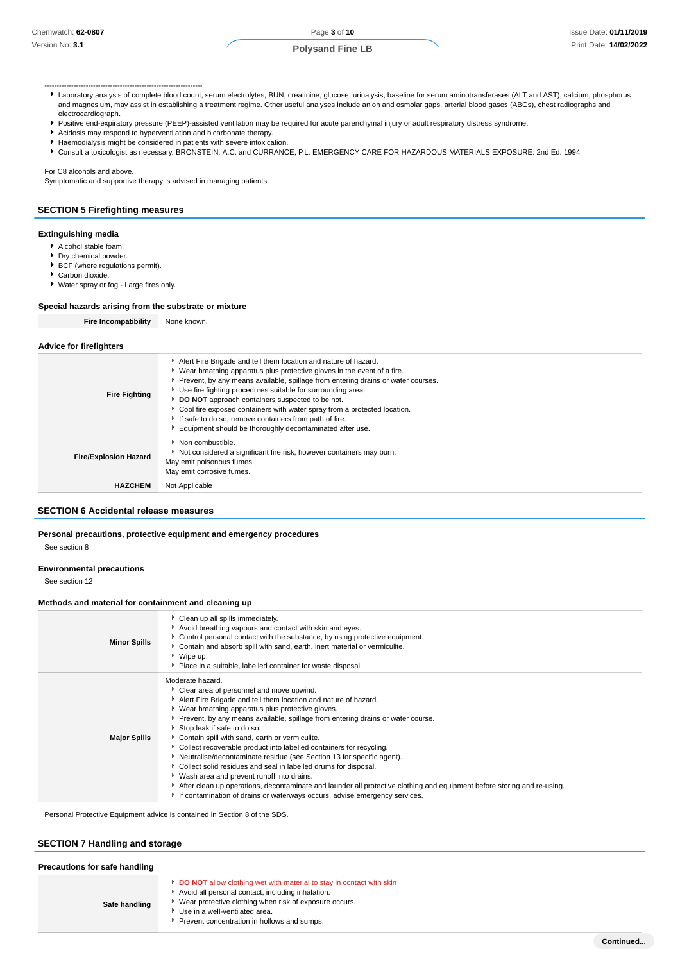- **Polysand Fine LB**
- Laboratory analysis of complete blood count, serum electrolytes, BUN, creatinine, glucose, urinalysis, baseline for serum aminotransferases (ALT and AST), calcium, phosphorus and magnesium, may assist in establishing a treatment regime. Other useful analyses include anion and osmolar gaps, arterial blood gases (ABGs), chest radiographs and electrocardiograph.
- Positive end-expiratory pressure (PEEP)-assisted ventilation may be required for acute parenchymal injury or adult respiratory distress syndrome.
- Acidosis may respond to hyperventilation and bicarbonate therapy.
- Haemodialysis might be considered in patients with severe intoxication.

Consult a toxicologist as necessary. BRONSTEIN, A.C. and CURRANCE, P.L. EMERGENCY CARE FOR HAZARDOUS MATERIALS EXPOSURE: 2nd Ed. 1994

For C8 alcohols and above.

Symptomatic and supportive therapy is advised in managing patients.

### **SECTION 5 Firefighting measures**

-----------------------------------------------------------------

### **Extinguishing media**

- Alcohol stable foam.
- Dry chemical powder.
- **BCF** (where regulations permit).
- Carbon dioxide.
- Water spray or fog Large fires only.

### **Special hazards arising from the substrate or mixture**

**Fire Incompatibility** None known.

#### **Advice for firefighters**

| <b>Fire Fighting</b>         | Alert Fire Brigade and tell them location and nature of hazard.<br>• Wear breathing apparatus plus protective gloves in the event of a fire.<br>Prevent, by any means available, spillage from entering drains or water courses.<br>Use fire fighting procedures suitable for surrounding area.<br>DO NOT approach containers suspected to be hot.<br>Cool fire exposed containers with water spray from a protected location.<br>If safe to do so, remove containers from path of fire.<br>Equipment should be thoroughly decontaminated after use. |
|------------------------------|------------------------------------------------------------------------------------------------------------------------------------------------------------------------------------------------------------------------------------------------------------------------------------------------------------------------------------------------------------------------------------------------------------------------------------------------------------------------------------------------------------------------------------------------------|
| <b>Fire/Explosion Hazard</b> | Non combustible.<br>Not considered a significant fire risk, however containers may burn.<br>May emit poisonous fumes.<br>May emit corrosive fumes.                                                                                                                                                                                                                                                                                                                                                                                                   |
| <b>HAZCHEM</b>               | Not Applicable                                                                                                                                                                                                                                                                                                                                                                                                                                                                                                                                       |

### **SECTION 6 Accidental release measures**

#### **Personal precautions, protective equipment and emergency procedures**

See section 8

### **Environmental precautions**

See section 12

#### **Methods and material for containment and cleaning up**

| <b>Minor Spills</b> | Clean up all spills immediately.<br>Avoid breathing vapours and contact with skin and eyes.<br>• Control personal contact with the substance, by using protective equipment.<br>Contain and absorb spill with sand, earth, inert material or vermiculite.<br>▶ Wipe up.<br>▶ Place in a suitable, labelled container for waste disposal.                                                                                                                                                                                                                                                                                                                                                                                                                                                                                                   |
|---------------------|--------------------------------------------------------------------------------------------------------------------------------------------------------------------------------------------------------------------------------------------------------------------------------------------------------------------------------------------------------------------------------------------------------------------------------------------------------------------------------------------------------------------------------------------------------------------------------------------------------------------------------------------------------------------------------------------------------------------------------------------------------------------------------------------------------------------------------------------|
| <b>Major Spills</b> | Moderate hazard.<br>• Clear area of personnel and move upwind.<br>Alert Fire Brigade and tell them location and nature of hazard.<br>▶ Wear breathing apparatus plus protective gloves.<br>▶ Prevent, by any means available, spillage from entering drains or water course.<br>Stop leak if safe to do so.<br>Contain spill with sand, earth or vermiculite.<br>• Collect recoverable product into labelled containers for recycling.<br>Neutralise/decontaminate residue (see Section 13 for specific agent).<br>Collect solid residues and seal in labelled drums for disposal.<br>• Wash area and prevent runoff into drains.<br>After clean up operations, decontaminate and launder all protective clothing and equipment before storing and re-using.<br>If contamination of drains or waterways occurs, advise emergency services. |

Personal Protective Equipment advice is contained in Section 8 of the SDS.

### **SECTION 7 Handling and storage**

| Precautions for safe handling |                                                                                                                                                                                                                                                                             |
|-------------------------------|-----------------------------------------------------------------------------------------------------------------------------------------------------------------------------------------------------------------------------------------------------------------------------|
| Safe handling                 | <b>DO NOT</b> allow clothing wet with material to stay in contact with skin<br>Avoid all personal contact, including inhalation.<br>Wear protective clothing when risk of exposure occurs.<br>Use in a well-ventilated area.<br>Prevent concentration in hollows and sumps. |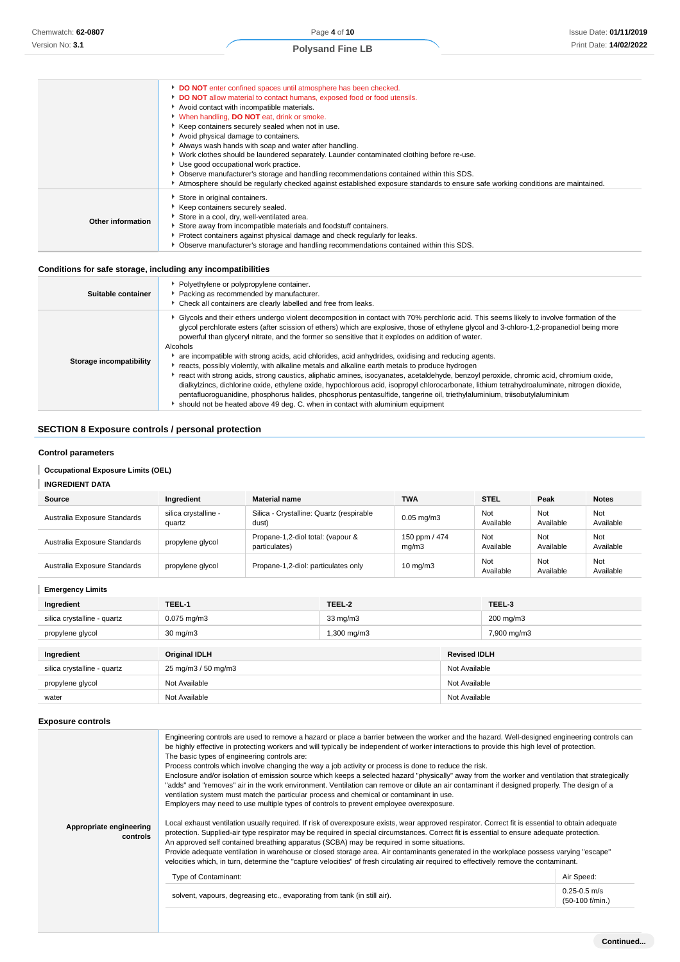|                   | DO NOT enter confined spaces until atmosphere has been checked.<br>DO NOT allow material to contact humans, exposed food or food utensils.<br>Avoid contact with incompatible materials.<br>V When handling, DO NOT eat, drink or smoke.<br>Keep containers securely sealed when not in use.<br>Avoid physical damage to containers.<br>Always wash hands with soap and water after handling.<br>▶ Work clothes should be laundered separately. Launder contaminated clothing before re-use.<br>Use good occupational work practice.<br>Observe manufacturer's storage and handling recommendations contained within this SDS. |
|-------------------|--------------------------------------------------------------------------------------------------------------------------------------------------------------------------------------------------------------------------------------------------------------------------------------------------------------------------------------------------------------------------------------------------------------------------------------------------------------------------------------------------------------------------------------------------------------------------------------------------------------------------------|
| Other information | Atmosphere should be regularly checked against established exposure standards to ensure safe working conditions are maintained.<br>Store in original containers.<br>Keep containers securely sealed.<br>Store in a cool, dry, well-ventilated area.<br>Store away from incompatible materials and foodstuff containers.<br>Protect containers against physical damage and check regularly for leaks.<br>Observe manufacturer's storage and handling recommendations contained within this SDS.                                                                                                                                 |

### **Conditions for safe storage, including any incompatibilities**

| Suitable container      | • Polyethylene or polypropylene container.<br>Packing as recommended by manufacturer.<br>• Check all containers are clearly labelled and free from leaks.                                                                                                                                                                                                                                                                                                                                                                                                                                                                                                                                                                                                                                                                                                                                                                                                                                                                                                                                                                           |
|-------------------------|-------------------------------------------------------------------------------------------------------------------------------------------------------------------------------------------------------------------------------------------------------------------------------------------------------------------------------------------------------------------------------------------------------------------------------------------------------------------------------------------------------------------------------------------------------------------------------------------------------------------------------------------------------------------------------------------------------------------------------------------------------------------------------------------------------------------------------------------------------------------------------------------------------------------------------------------------------------------------------------------------------------------------------------------------------------------------------------------------------------------------------------|
| Storage incompatibility | • Glycols and their ethers undergo violent decomposition in contact with 70% perchloric acid. This seems likely to involve formation of the<br>glycol perchlorate esters (after scission of ethers) which are explosive, those of ethylene glycol and 3-chloro-1,2-propanediol being more<br>powerful than glyceryl nitrate, and the former so sensitive that it explodes on addition of water.<br>Alcohols<br>are incompatible with strong acids, acid chlorides, acid anhydrides, oxidising and reducing agents.<br>Freacts, possibly violently, with alkaline metals and alkaline earth metals to produce hydrogen<br>▶ react with strong acids, strong caustics, aliphatic amines, isocyanates, acetaldehyde, benzoyl peroxide, chromic acid, chromium oxide,<br>dialkylzincs, dichlorine oxide, ethylene oxide, hypochlorous acid, isopropyl chlorocarbonate, lithium tetrahydroaluminate, nitrogen dioxide,<br>pentafluoroquanidine, phosphorus halides, phosphorus pentasulfide, tangerine oil, triethylaluminium, triisobutylaluminium<br>If should not be heated above 49 deg. C. when in contact with aluminium equipment |

### **SECTION 8 Exposure controls / personal protection**

### **Control parameters**

### **Occupational Exposure Limits (OEL)**

### **INGREDIENT DATA**

| Source                       | Ingredient                     | <b>Material name</b>                               | <b>TWA</b>             | <b>STEL</b>      | Peak             | <b>Notes</b>     |
|------------------------------|--------------------------------|----------------------------------------------------|------------------------|------------------|------------------|------------------|
| Australia Exposure Standards | silica crystalline -<br>quartz | Silica - Crystalline: Quartz (respirable<br>dust)  | $0.05$ mg/m $3$        | Not<br>Available | Not<br>Available | Not<br>Available |
| Australia Exposure Standards | propylene glycol               | Propane-1,2-diol total: (vapour &<br>particulates) | 150 ppm / 474<br>mq/m3 | Not<br>Available | Not<br>Available | Not<br>Available |
| Australia Exposure Standards | propylene glycol               | Propane-1,2-diol: particulates only                | $10 \text{ ma/m}$ 3    | Not<br>Available | Not<br>Available | Not<br>Available |

**Emergency Limits**

| Ingredient                  | TEEL-1               | TEEL-2            |                     | TEEL-3      |
|-----------------------------|----------------------|-------------------|---------------------|-------------|
| silica crystalline - quartz | $0.075$ mg/m $3$     | $33 \text{ mg/m}$ |                     | 200 mg/m3   |
| propylene glycol            | $30 \text{ mg/m}$    | 1,300 mg/m3       |                     | 7,900 mg/m3 |
|                             |                      |                   |                     |             |
| Ingredient                  | <b>Original IDLH</b> |                   | <b>Revised IDLH</b> |             |
| silica crystalline - quartz | 25 mg/m3 / 50 mg/m3  |                   | Not Available       |             |
| propylene glycol            | Not Available        |                   | Not Available       |             |
| water                       | Not Available        |                   | Not Available       |             |

### **Exposure controls**

| Appropriate engineering<br>controls | Engineering controls are used to remove a hazard or place a barrier between the worker and the hazard. Well-designed engineering controls can<br>be highly effective in protecting workers and will typically be independent of worker interactions to provide this high level of protection.<br>The basic types of engineering controls are:<br>Process controls which involve changing the way a job activity or process is done to reduce the risk.<br>Enclosure and/or isolation of emission source which keeps a selected hazard "physically" away from the worker and ventilation that strategically<br>"adds" and "removes" air in the work environment. Ventilation can remove or dilute an air contaminant if designed properly. The design of a<br>ventilation system must match the particular process and chemical or contaminant in use.<br>Employers may need to use multiple types of controls to prevent employee overexposure.<br>Local exhaust ventilation usually required. If risk of overexposure exists, wear approved respirator. Correct fit is essential to obtain adequate<br>protection. Supplied-air type respirator may be required in special circumstances. Correct fit is essential to ensure adequate protection.<br>An approved self contained breathing apparatus (SCBA) may be required in some situations.<br>Provide adequate ventilation in warehouse or closed storage area. Air contaminants generated in the workplace possess varying "escape"<br>velocities which, in turn, determine the "capture velocities" of fresh circulating air required to effectively remove the contaminant. |                                     |
|-------------------------------------|-------------------------------------------------------------------------------------------------------------------------------------------------------------------------------------------------------------------------------------------------------------------------------------------------------------------------------------------------------------------------------------------------------------------------------------------------------------------------------------------------------------------------------------------------------------------------------------------------------------------------------------------------------------------------------------------------------------------------------------------------------------------------------------------------------------------------------------------------------------------------------------------------------------------------------------------------------------------------------------------------------------------------------------------------------------------------------------------------------------------------------------------------------------------------------------------------------------------------------------------------------------------------------------------------------------------------------------------------------------------------------------------------------------------------------------------------------------------------------------------------------------------------------------------------------------------------------------------------------------------------------------|-------------------------------------|
|                                     | Type of Contaminant:                                                                                                                                                                                                                                                                                                                                                                                                                                                                                                                                                                                                                                                                                                                                                                                                                                                                                                                                                                                                                                                                                                                                                                                                                                                                                                                                                                                                                                                                                                                                                                                                                | Air Speed:                          |
|                                     | solvent, vapours, degreasing etc., evaporating from tank (in still air).                                                                                                                                                                                                                                                                                                                                                                                                                                                                                                                                                                                                                                                                                                                                                                                                                                                                                                                                                                                                                                                                                                                                                                                                                                                                                                                                                                                                                                                                                                                                                            | $0.25 - 0.5$ m/s<br>(50-100 f/min.) |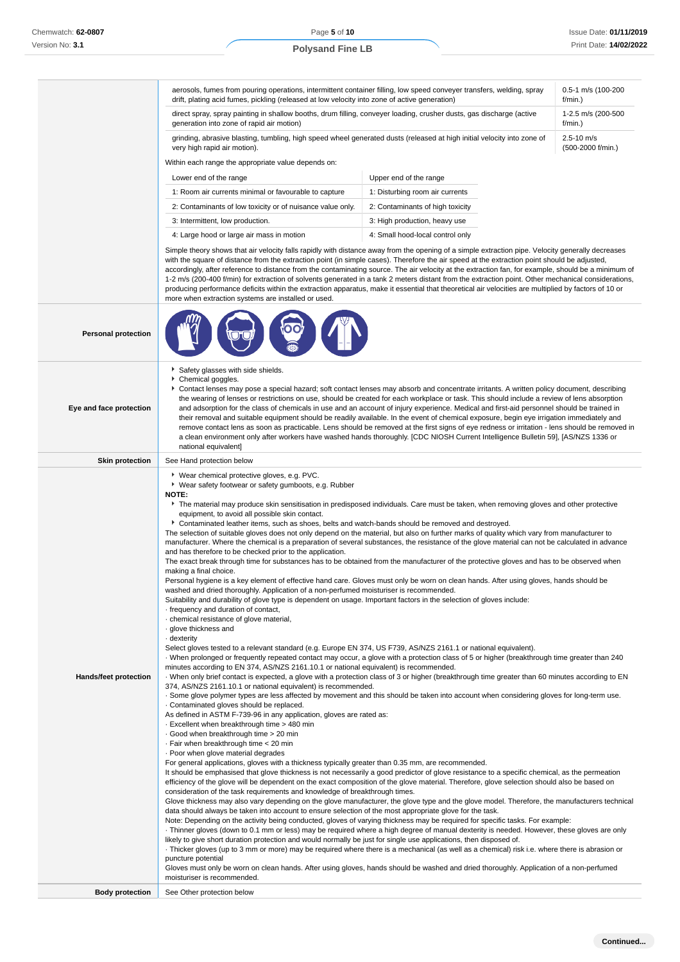|                              | aerosols, fumes from pouring operations, intermittent container filling, low speed conveyer transfers, welding, spray<br>drift, plating acid fumes, pickling (released at low velocity into zone of active generation)                                                                                                                                                                                                                                                                                                                                                                                                                                                                                                                                                                                                                                                                                                                                                                                                                                                                                                                                                                                                                                                                                                                                                                                                                                                                                                                                                                                                                                                                                                                                                                                                                                                                                                                                                                                                                                                                                                                                                                                                                                                                                                                                                                                                                                                                                                                                                                                                                                                                                                                                                                                                                                                                                                                                                                                                                                                                                                                                                                                                                                                                                                                                                                                                                                                                                                                                                                                                                                                                                                                                                                                |                                                                                                                                       | 0.5-1 m/s (100-200<br>f/min.) |  |  |
|------------------------------|-------------------------------------------------------------------------------------------------------------------------------------------------------------------------------------------------------------------------------------------------------------------------------------------------------------------------------------------------------------------------------------------------------------------------------------------------------------------------------------------------------------------------------------------------------------------------------------------------------------------------------------------------------------------------------------------------------------------------------------------------------------------------------------------------------------------------------------------------------------------------------------------------------------------------------------------------------------------------------------------------------------------------------------------------------------------------------------------------------------------------------------------------------------------------------------------------------------------------------------------------------------------------------------------------------------------------------------------------------------------------------------------------------------------------------------------------------------------------------------------------------------------------------------------------------------------------------------------------------------------------------------------------------------------------------------------------------------------------------------------------------------------------------------------------------------------------------------------------------------------------------------------------------------------------------------------------------------------------------------------------------------------------------------------------------------------------------------------------------------------------------------------------------------------------------------------------------------------------------------------------------------------------------------------------------------------------------------------------------------------------------------------------------------------------------------------------------------------------------------------------------------------------------------------------------------------------------------------------------------------------------------------------------------------------------------------------------------------------------------------------------------------------------------------------------------------------------------------------------------------------------------------------------------------------------------------------------------------------------------------------------------------------------------------------------------------------------------------------------------------------------------------------------------------------------------------------------------------------------------------------------------------------------------------------------------------------------------------------------------------------------------------------------------------------------------------------------------------------------------------------------------------------------------------------------------------------------------------------------------------------------------------------------------------------------------------------------------------------------------------------------------------------------------------------------|---------------------------------------------------------------------------------------------------------------------------------------|-------------------------------|--|--|
|                              | direct spray, spray painting in shallow booths, drum filling, conveyer loading, crusher dusts, gas discharge (active<br>generation into zone of rapid air motion)                                                                                                                                                                                                                                                                                                                                                                                                                                                                                                                                                                                                                                                                                                                                                                                                                                                                                                                                                                                                                                                                                                                                                                                                                                                                                                                                                                                                                                                                                                                                                                                                                                                                                                                                                                                                                                                                                                                                                                                                                                                                                                                                                                                                                                                                                                                                                                                                                                                                                                                                                                                                                                                                                                                                                                                                                                                                                                                                                                                                                                                                                                                                                                                                                                                                                                                                                                                                                                                                                                                                                                                                                                     | 1-2.5 m/s (200-500<br>f/min.)                                                                                                         |                               |  |  |
|                              | grinding, abrasive blasting, tumbling, high speed wheel generated dusts (released at high initial velocity into zone of<br>very high rapid air motion).                                                                                                                                                                                                                                                                                                                                                                                                                                                                                                                                                                                                                                                                                                                                                                                                                                                                                                                                                                                                                                                                                                                                                                                                                                                                                                                                                                                                                                                                                                                                                                                                                                                                                                                                                                                                                                                                                                                                                                                                                                                                                                                                                                                                                                                                                                                                                                                                                                                                                                                                                                                                                                                                                                                                                                                                                                                                                                                                                                                                                                                                                                                                                                                                                                                                                                                                                                                                                                                                                                                                                                                                                                               | $2.5 - 10$ m/s<br>(500-2000 f/min.)                                                                                                   |                               |  |  |
|                              | Within each range the appropriate value depends on:                                                                                                                                                                                                                                                                                                                                                                                                                                                                                                                                                                                                                                                                                                                                                                                                                                                                                                                                                                                                                                                                                                                                                                                                                                                                                                                                                                                                                                                                                                                                                                                                                                                                                                                                                                                                                                                                                                                                                                                                                                                                                                                                                                                                                                                                                                                                                                                                                                                                                                                                                                                                                                                                                                                                                                                                                                                                                                                                                                                                                                                                                                                                                                                                                                                                                                                                                                                                                                                                                                                                                                                                                                                                                                                                                   |                                                                                                                                       |                               |  |  |
|                              | Lower end of the range                                                                                                                                                                                                                                                                                                                                                                                                                                                                                                                                                                                                                                                                                                                                                                                                                                                                                                                                                                                                                                                                                                                                                                                                                                                                                                                                                                                                                                                                                                                                                                                                                                                                                                                                                                                                                                                                                                                                                                                                                                                                                                                                                                                                                                                                                                                                                                                                                                                                                                                                                                                                                                                                                                                                                                                                                                                                                                                                                                                                                                                                                                                                                                                                                                                                                                                                                                                                                                                                                                                                                                                                                                                                                                                                                                                | Upper end of the range                                                                                                                |                               |  |  |
|                              | 1: Room air currents minimal or favourable to capture                                                                                                                                                                                                                                                                                                                                                                                                                                                                                                                                                                                                                                                                                                                                                                                                                                                                                                                                                                                                                                                                                                                                                                                                                                                                                                                                                                                                                                                                                                                                                                                                                                                                                                                                                                                                                                                                                                                                                                                                                                                                                                                                                                                                                                                                                                                                                                                                                                                                                                                                                                                                                                                                                                                                                                                                                                                                                                                                                                                                                                                                                                                                                                                                                                                                                                                                                                                                                                                                                                                                                                                                                                                                                                                                                 | 1: Disturbing room air currents                                                                                                       |                               |  |  |
|                              | 2: Contaminants of low toxicity or of nuisance value only.<br>2: Contaminants of high toxicity                                                                                                                                                                                                                                                                                                                                                                                                                                                                                                                                                                                                                                                                                                                                                                                                                                                                                                                                                                                                                                                                                                                                                                                                                                                                                                                                                                                                                                                                                                                                                                                                                                                                                                                                                                                                                                                                                                                                                                                                                                                                                                                                                                                                                                                                                                                                                                                                                                                                                                                                                                                                                                                                                                                                                                                                                                                                                                                                                                                                                                                                                                                                                                                                                                                                                                                                                                                                                                                                                                                                                                                                                                                                                                        |                                                                                                                                       |                               |  |  |
|                              | 3: Intermittent, low production.                                                                                                                                                                                                                                                                                                                                                                                                                                                                                                                                                                                                                                                                                                                                                                                                                                                                                                                                                                                                                                                                                                                                                                                                                                                                                                                                                                                                                                                                                                                                                                                                                                                                                                                                                                                                                                                                                                                                                                                                                                                                                                                                                                                                                                                                                                                                                                                                                                                                                                                                                                                                                                                                                                                                                                                                                                                                                                                                                                                                                                                                                                                                                                                                                                                                                                                                                                                                                                                                                                                                                                                                                                                                                                                                                                      | 3: High production, heavy use                                                                                                         |                               |  |  |
|                              | 4: Large hood or large air mass in motion                                                                                                                                                                                                                                                                                                                                                                                                                                                                                                                                                                                                                                                                                                                                                                                                                                                                                                                                                                                                                                                                                                                                                                                                                                                                                                                                                                                                                                                                                                                                                                                                                                                                                                                                                                                                                                                                                                                                                                                                                                                                                                                                                                                                                                                                                                                                                                                                                                                                                                                                                                                                                                                                                                                                                                                                                                                                                                                                                                                                                                                                                                                                                                                                                                                                                                                                                                                                                                                                                                                                                                                                                                                                                                                                                             | 4: Small hood-local control only                                                                                                      |                               |  |  |
|                              | Simple theory shows that air velocity falls rapidly with distance away from the opening of a simple extraction pipe. Velocity generally decreases<br>with the square of distance from the extraction point (in simple cases). Therefore the air speed at the extraction point should be adjusted,<br>accordingly, after reference to distance from the contaminating source. The air velocity at the extraction fan, for example, should be a minimum of<br>1-2 m/s (200-400 f/min) for extraction of solvents generated in a tank 2 meters distant from the extraction point. Other mechanical considerations,<br>producing performance deficits within the extraction apparatus, make it essential that theoretical air velocities are multiplied by factors of 10 or<br>more when extraction systems are installed or used.                                                                                                                                                                                                                                                                                                                                                                                                                                                                                                                                                                                                                                                                                                                                                                                                                                                                                                                                                                                                                                                                                                                                                                                                                                                                                                                                                                                                                                                                                                                                                                                                                                                                                                                                                                                                                                                                                                                                                                                                                                                                                                                                                                                                                                                                                                                                                                                                                                                                                                                                                                                                                                                                                                                                                                                                                                                                                                                                                                        |                                                                                                                                       |                               |  |  |
| <b>Personal protection</b>   |                                                                                                                                                                                                                                                                                                                                                                                                                                                                                                                                                                                                                                                                                                                                                                                                                                                                                                                                                                                                                                                                                                                                                                                                                                                                                                                                                                                                                                                                                                                                                                                                                                                                                                                                                                                                                                                                                                                                                                                                                                                                                                                                                                                                                                                                                                                                                                                                                                                                                                                                                                                                                                                                                                                                                                                                                                                                                                                                                                                                                                                                                                                                                                                                                                                                                                                                                                                                                                                                                                                                                                                                                                                                                                                                                                                                       |                                                                                                                                       |                               |  |  |
| Eye and face protection      | Safety glasses with side shields.<br>Chemical goggles.<br>Contact lenses may pose a special hazard; soft contact lenses may absorb and concentrate irritants. A written policy document, describing<br>the wearing of lenses or restrictions on use, should be created for each workplace or task. This should include a review of lens absorption<br>and adsorption for the class of chemicals in use and an account of injury experience. Medical and first-aid personnel should be trained in<br>their removal and suitable equipment should be readily available. In the event of chemical exposure, begin eye irrigation immediately and<br>remove contact lens as soon as practicable. Lens should be removed at the first signs of eye redness or irritation - lens should be removed in<br>a clean environment only after workers have washed hands thoroughly. [CDC NIOSH Current Intelligence Bulletin 59], [AS/NZS 1336 or<br>national equivalent]                                                                                                                                                                                                                                                                                                                                                                                                                                                                                                                                                                                                                                                                                                                                                                                                                                                                                                                                                                                                                                                                                                                                                                                                                                                                                                                                                                                                                                                                                                                                                                                                                                                                                                                                                                                                                                                                                                                                                                                                                                                                                                                                                                                                                                                                                                                                                                                                                                                                                                                                                                                                                                                                                                                                                                                                                                         |                                                                                                                                       |                               |  |  |
| <b>Skin protection</b>       | See Hand protection below                                                                                                                                                                                                                                                                                                                                                                                                                                                                                                                                                                                                                                                                                                                                                                                                                                                                                                                                                                                                                                                                                                                                                                                                                                                                                                                                                                                                                                                                                                                                                                                                                                                                                                                                                                                                                                                                                                                                                                                                                                                                                                                                                                                                                                                                                                                                                                                                                                                                                                                                                                                                                                                                                                                                                                                                                                                                                                                                                                                                                                                                                                                                                                                                                                                                                                                                                                                                                                                                                                                                                                                                                                                                                                                                                                             |                                                                                                                                       |                               |  |  |
| <b>Hands/feet protection</b> | ▶ Wear chemical protective gloves, e.g. PVC.<br>▶ Wear safety footwear or safety gumboots, e.g. Rubber<br>NOTE:<br>equipment, to avoid all possible skin contact.<br>Contaminated leather items, such as shoes, belts and watch-bands should be removed and destroyed.<br>The selection of suitable gloves does not only depend on the material, but also on further marks of quality which vary from manufacturer to<br>manufacturer. Where the chemical is a preparation of several substances, the resistance of the glove material can not be calculated in advance<br>and has therefore to be checked prior to the application.<br>The exact break through time for substances has to be obtained from the manufacturer of the protective gloves and has to be observed when<br>making a final choice.<br>Personal hygiene is a key element of effective hand care. Gloves must only be worn on clean hands. After using gloves, hands should be<br>washed and dried thoroughly. Application of a non-perfumed moisturiser is recommended.<br>Suitability and durability of glove type is dependent on usage. Important factors in the selection of gloves include:<br>- frequency and duration of contact,<br>· chemical resistance of glove material,<br>· glove thickness and<br>· dexterity<br>Select gloves tested to a relevant standard (e.g. Europe EN 374, US F739, AS/NZS 2161.1 or national equivalent).<br>When prolonged or frequently repeated contact may occur, a glove with a protection class of 5 or higher (breakthrough time greater than 240<br>minutes according to EN 374, AS/NZS 2161.10.1 or national equivalent) is recommended.<br>When only brief contact is expected, a glove with a protection class of 3 or higher (breakthrough time greater than 60 minutes according to EN<br>374, AS/NZS 2161.10.1 or national equivalent) is recommended.<br>. Some glove polymer types are less affected by movement and this should be taken into account when considering gloves for long-term use.<br>Contaminated gloves should be replaced.<br>As defined in ASTM F-739-96 in any application, gloves are rated as:<br>- Excellent when breakthrough time > 480 min<br>Good when breakthrough time > 20 min<br>· Fair when breakthrough time < 20 min<br>. Poor when glove material degrades<br>For general applications, gloves with a thickness typically greater than 0.35 mm, are recommended.<br>It should be emphasised that glove thickness is not necessarily a good predictor of glove resistance to a specific chemical, as the permeation<br>efficiency of the glove will be dependent on the exact composition of the glove material. Therefore, glove selection should also be based on<br>consideration of the task requirements and knowledge of breakthrough times.<br>Glove thickness may also vary depending on the glove manufacturer, the glove type and the glove model. Therefore, the manufacturers technical<br>data should always be taken into account to ensure selection of the most appropriate glove for the task.<br>Note: Depending on the activity being conducted, gloves of varying thickness may be required for specific tasks. For example:<br>Thinner gloves (down to 0.1 mm or less) may be required where a high degree of manual dexterity is needed. However, these gloves are only<br>likely to give short duration protection and would normally be just for single use applications, then disposed of.<br>Thicker gloves (up to 3 mm or more) may be required where there is a mechanical (as well as a chemical) risk i.e. where there is abrasion or<br>puncture potential<br>Gloves must only be worn on clean hands. After using gloves, hands should be washed and dried thoroughly. Application of a non-perfumed | The material may produce skin sensitisation in predisposed individuals. Care must be taken, when removing gloves and other protective |                               |  |  |
|                              | moisturiser is recommended.                                                                                                                                                                                                                                                                                                                                                                                                                                                                                                                                                                                                                                                                                                                                                                                                                                                                                                                                                                                                                                                                                                                                                                                                                                                                                                                                                                                                                                                                                                                                                                                                                                                                                                                                                                                                                                                                                                                                                                                                                                                                                                                                                                                                                                                                                                                                                                                                                                                                                                                                                                                                                                                                                                                                                                                                                                                                                                                                                                                                                                                                                                                                                                                                                                                                                                                                                                                                                                                                                                                                                                                                                                                                                                                                                                           |                                                                                                                                       |                               |  |  |
| <b>Body protection</b>       | See Other protection below                                                                                                                                                                                                                                                                                                                                                                                                                                                                                                                                                                                                                                                                                                                                                                                                                                                                                                                                                                                                                                                                                                                                                                                                                                                                                                                                                                                                                                                                                                                                                                                                                                                                                                                                                                                                                                                                                                                                                                                                                                                                                                                                                                                                                                                                                                                                                                                                                                                                                                                                                                                                                                                                                                                                                                                                                                                                                                                                                                                                                                                                                                                                                                                                                                                                                                                                                                                                                                                                                                                                                                                                                                                                                                                                                                            |                                                                                                                                       |                               |  |  |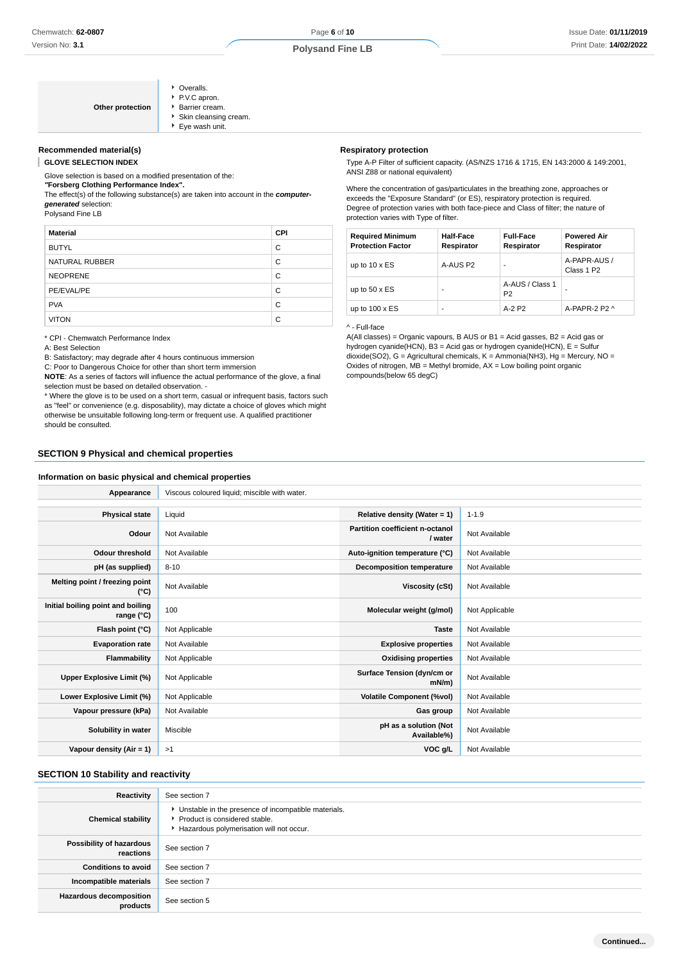| • Overalls.           |
|-----------------------|
| P.V.C apron.          |
| <b>Barrier cream.</b> |
| Skin cleansing cream. |
| Eye wash unit.        |

### **Recommended material(s)**

**GLOVE SELECTION INDEX**

Glove selection is based on a modified presentation of the:

**"Forsberg Clothing Performance Index".**

**Other protection** 

The effect(s) of the following substance(s) are taken into account in the **computergenerated** selection:

Polysand Fine LB

| <b>Material</b> | <b>CPI</b> |
|-----------------|------------|
| <b>BUTYL</b>    | C          |
| NATURAL RUBBER  | C          |
| <b>NEOPRENE</b> | C          |
| PE/EVAL/PE      | C          |
| <b>PVA</b>      | C          |
| <b>VITON</b>    | C          |

\* CPI - Chemwatch Performance Index

A: Best Selection

B: Satisfactory; may degrade after 4 hours continuous immersion

C: Poor to Dangerous Choice for other than short term immersion

**NOTE**: As a series of factors will influence the actual performance of the glove, a final selection must be based on detailed observation. -

\* Where the glove is to be used on a short term, casual or infrequent basis, factors such as "feel" or convenience (e.g. disposability), may dictate a choice of gloves which might otherwise be unsuitable following long-term or frequent use. A qualified practitioner should be consulted.

### **SECTION 9 Physical and chemical properties**

### **Information on basic physical and chemical properties**

### **Respiratory protection**

Type A-P Filter of sufficient capacity. (AS/NZS 1716 & 1715, EN 143:2000 & 149:2001, ANSI Z88 or national equivalent)

Where the concentration of gas/particulates in the breathing zone, approaches or exceeds the "Exposure Standard" (or ES), respiratory protection is required. Degree of protection varies with both face-piece and Class of filter; the nature of protection varies with Type of filter.

| <b>Required Minimum</b><br><b>Protection Factor</b> | <b>Half-Face</b><br>Respirator | <b>Full-Face</b><br>Respirator    | <b>Powered Air</b><br>Respirator       |
|-----------------------------------------------------|--------------------------------|-----------------------------------|----------------------------------------|
| up to $10 \times ES$                                | A-AUS P2                       |                                   | A-PAPR-AUS /<br>Class 1 P <sub>2</sub> |
| up to $50 \times ES$                                | -                              | A-AUS / Class 1<br>P <sub>2</sub> |                                        |
| up to $100 \times ES$                               | ۰                              | $A-2$ P <sub>2</sub>              | A-PAPR-2 $P2 \wedge$                   |

^ - Full-face

A(All classes) = Organic vapours, B AUS or B1 = Acid gasses, B2 = Acid gas or hydrogen cyanide(HCN), B3 = Acid gas or hydrogen cyanide(HCN), E = Sulfur  $\frac{d}{dx}$  dioxide(SO2), G = Agricultural chemicals, K = Ammonia(NH3), Hg = Mercury, NO = Oxides of nitrogen,  $MB =$  Methyl bromide,  $AX =$  Low boiling point organic compounds(below 65 degC)

| Appearance                                      | Viscous coloured liquid; miscible with water. |                                            |                |
|-------------------------------------------------|-----------------------------------------------|--------------------------------------------|----------------|
|                                                 |                                               |                                            |                |
| <b>Physical state</b>                           | Liquid                                        | Relative density (Water = $1$ )            | $1 - 1.9$      |
| Odour                                           | Not Available                                 | Partition coefficient n-octanol<br>/ water | Not Available  |
| <b>Odour threshold</b>                          | Not Available                                 | Auto-ignition temperature (°C)             | Not Available  |
| pH (as supplied)                                | $8 - 10$                                      | <b>Decomposition temperature</b>           | Not Available  |
| Melting point / freezing point<br>(°C)          | Not Available                                 | Viscosity (cSt)                            | Not Available  |
| Initial boiling point and boiling<br>range (°C) | 100                                           | Molecular weight (g/mol)                   | Not Applicable |
| Flash point (°C)                                | Not Applicable                                | <b>Taste</b>                               | Not Available  |
| <b>Evaporation rate</b>                         | Not Available                                 | <b>Explosive properties</b>                | Not Available  |
| Flammability                                    | Not Applicable                                | <b>Oxidising properties</b>                | Not Available  |
| Upper Explosive Limit (%)                       | Not Applicable                                | Surface Tension (dyn/cm or<br>$mN/m$ )     | Not Available  |
| Lower Explosive Limit (%)                       | Not Applicable                                | <b>Volatile Component (%vol)</b>           | Not Available  |
| Vapour pressure (kPa)                           | Not Available                                 | Gas group                                  | Not Available  |
| Solubility in water                             | Miscible                                      | pH as a solution (Not<br>Available%)       | Not Available  |
| Vapour density (Air = 1)                        | >1                                            | VOC g/L                                    | Not Available  |

### **SECTION 10 Stability and reactivity**

| Reactivity                                 | See section 7                                                                                                                      |
|--------------------------------------------|------------------------------------------------------------------------------------------------------------------------------------|
| <b>Chemical stability</b>                  | Unstable in the presence of incompatible materials.<br>▶ Product is considered stable.<br>Hazardous polymerisation will not occur. |
| Possibility of hazardous<br>reactions      | See section 7                                                                                                                      |
| <b>Conditions to avoid</b>                 | See section 7                                                                                                                      |
| Incompatible materials                     | See section 7                                                                                                                      |
| <b>Hazardous decomposition</b><br>products | See section 5                                                                                                                      |

**Continued...**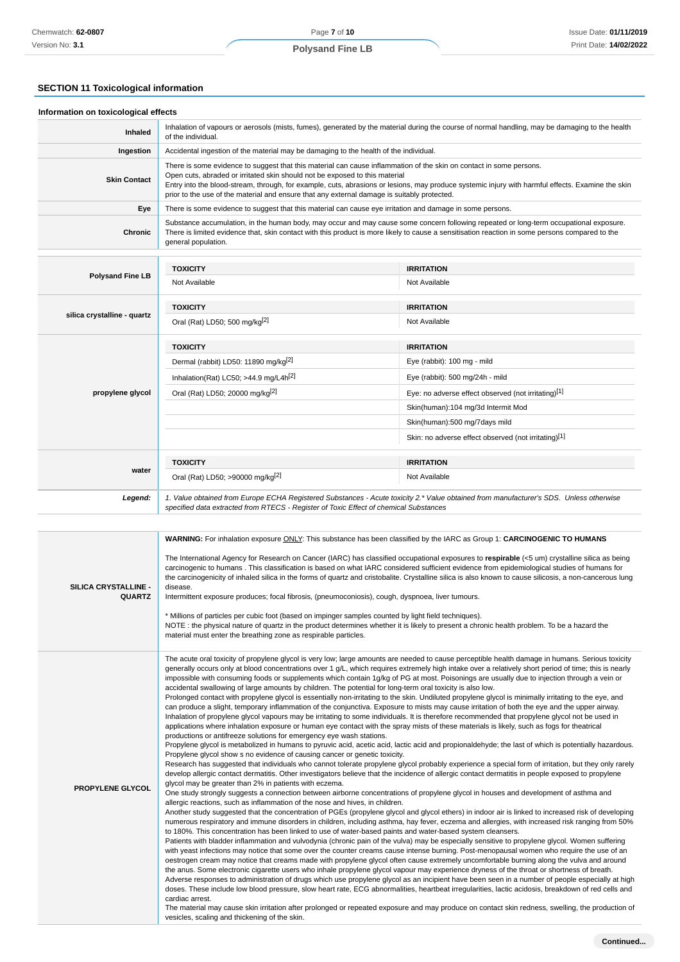# **SECTION 11 Toxicological information**

| Information on toxicological effects<br>Inhaled |                                                                                                                                                                            | Inhalation of vapours or aerosols (mists, fumes), generated by the material during the course of normal handling, may be damaging to the health                                                                                                                                           |
|-------------------------------------------------|----------------------------------------------------------------------------------------------------------------------------------------------------------------------------|-------------------------------------------------------------------------------------------------------------------------------------------------------------------------------------------------------------------------------------------------------------------------------------------|
|                                                 | of the individual.                                                                                                                                                         |                                                                                                                                                                                                                                                                                           |
| Ingestion                                       | Accidental ingestion of the material may be damaging to the health of the individual.                                                                                      |                                                                                                                                                                                                                                                                                           |
| <b>Skin Contact</b>                             | Open cuts, abraded or irritated skin should not be exposed to this material<br>prior to the use of the material and ensure that any external damage is suitably protected. | There is some evidence to suggest that this material can cause inflammation of the skin on contact in some persons.<br>Entry into the blood-stream, through, for example, cuts, abrasions or lesions, may produce systemic injury with harmful effects. Examine the skin                  |
| Eye                                             | There is some evidence to suggest that this material can cause eye irritation and damage in some persons.                                                                  |                                                                                                                                                                                                                                                                                           |
| <b>Chronic</b>                                  | general population.                                                                                                                                                        | Substance accumulation, in the human body, may occur and may cause some concern following repeated or long-term occupational exposure.<br>There is limited evidence that, skin contact with this product is more likely to cause a sensitisation reaction in some persons compared to the |
|                                                 | <b>TOXICITY</b>                                                                                                                                                            | <b>IRRITATION</b>                                                                                                                                                                                                                                                                         |
| <b>Polysand Fine LB</b>                         | Not Available                                                                                                                                                              | Not Available                                                                                                                                                                                                                                                                             |
|                                                 | <b>TOXICITY</b>                                                                                                                                                            | <b>IRRITATION</b>                                                                                                                                                                                                                                                                         |
| silica crystalline - quartz                     | Oral (Rat) LD50; 500 mg/kg <sup>[2]</sup>                                                                                                                                  | Not Available                                                                                                                                                                                                                                                                             |
|                                                 | <b>TOXICITY</b>                                                                                                                                                            | <b>IRRITATION</b>                                                                                                                                                                                                                                                                         |
|                                                 | Dermal (rabbit) LD50: 11890 mg/kg <sup>[2]</sup>                                                                                                                           | Eye (rabbit): 100 mg - mild                                                                                                                                                                                                                                                               |
|                                                 | Inhalation(Rat) LC50; >44.9 mg/L4 $h[2]$                                                                                                                                   | Eye (rabbit): 500 mg/24h - mild                                                                                                                                                                                                                                                           |
| propylene glycol                                | Oral (Rat) LD50; 20000 mg/kg <sup>[2]</sup>                                                                                                                                | Eye: no adverse effect observed (not irritating)[1]                                                                                                                                                                                                                                       |
|                                                 |                                                                                                                                                                            | Skin(human):104 mg/3d Intermit Mod                                                                                                                                                                                                                                                        |
|                                                 |                                                                                                                                                                            | Skin(human):500 mg/7days mild                                                                                                                                                                                                                                                             |
|                                                 |                                                                                                                                                                            | Skin: no adverse effect observed (not irritating)[1]                                                                                                                                                                                                                                      |
|                                                 | <b>TOXICITY</b>                                                                                                                                                            | <b>IRRITATION</b>                                                                                                                                                                                                                                                                         |
| water                                           | Oral (Rat) LD50; >90000 mg/kg <sup>[2]</sup>                                                                                                                               | Not Available                                                                                                                                                                                                                                                                             |
| Legend:                                         | specified data extracted from RTECS - Register of Toxic Effect of chemical Substances                                                                                      | 1. Value obtained from Europe ECHA Registered Substances - Acute toxicity 2.* Value obtained from manufacturer's SDS. Unless otherwise                                                                                                                                                    |

| WARNING: For inhalation exposure ONLY: This substance has been classified by the IARC as Group 1: CARCINOGENIC TO HUMANS<br>The International Agency for Research on Cancer (IARC) has classified occupational exposures to respirable (<5 um) crystalline silica as being<br>carcinogenic to humans. This classification is based on what IARC considered sufficient evidence from epidemiological studies of humans for<br><b>SILICA CRYSTALLINE -</b><br>disease.<br><b>QUARTZ</b><br>Intermittent exposure produces; focal fibrosis, (pneumoconiosis), cough, dyspnoea, liver tumours.<br>* Millions of particles per cubic foot (based on impinger samples counted by light field techniques).<br>NOTE: the physical nature of quartz in the product determines whether it is likely to present a chronic health problem. To be a hazard the<br>material must enter the breathing zone as respirable particles.<br>impossible with consuming foods or supplements which contain 1g/kg of PG at most. Poisonings are usually due to injection through a vein or<br>accidental swallowing of large amounts by children. The potential for long-term oral toxicity is also low.<br>Prolonged contact with propylene glycol is essentially non-irritating to the skin. Undiluted propylene glycol is minimally irritating to the eye, and<br>can produce a slight, temporary inflammation of the conjunctiva. Exposure to mists may cause irritation of both the eye and the upper airway.<br>Inhalation of propylene glycol vapours may be irritating to some individuals. It is therefore recommended that propylene glycol not be used in<br>applications where inhalation exposure or human eye contact with the spray mists of these materials is likely, such as fogs for theatrical<br>productions or antifreeze solutions for emergency eye wash stations.<br>Propylene glycol show s no evidence of causing cancer or genetic toxicity.<br>develop allergic contact dermatitis. Other investigators believe that the incidence of allergic contact dermatitis in people exposed to propylene<br>glycol may be greater than 2% in patients with eczema.<br><b>PROPYLENE GLYCOL</b><br>One study strongly suggests a connection between airborne concentrations of propylene glycol in houses and development of asthma and<br>allergic reactions, such as inflammation of the nose and hives, in children.<br>to 180%. This concentration has been linked to use of water-based paints and water-based system cleansers.<br>Patients with bladder inflammation and vulvodynia (chronic pain of the vulva) may be especially sensitive to propylene glycol. Women suffering<br>with yeast infections may notice that some over the counter creams cause intense burning. Post-menopausal women who require the use of an<br>oestrogen cream may notice that creams made with propylene glycol often cause extremely uncomfortable burning along the vulva and around<br>the anus. Some electronic cigarette users who inhale propylene glycol vapour may experience dryness of the throat or shortness of breath.<br>cardiac arrest. |                                                                                                                                                                                                                                                                                                                                                                                                                                                                                                                                                                                                                                                                                                                                                                                                                                                                                                                                                                                                                                                                                                                                                                                                                                                                                                                                                                                                                                                 |
|----------------------------------------------------------------------------------------------------------------------------------------------------------------------------------------------------------------------------------------------------------------------------------------------------------------------------------------------------------------------------------------------------------------------------------------------------------------------------------------------------------------------------------------------------------------------------------------------------------------------------------------------------------------------------------------------------------------------------------------------------------------------------------------------------------------------------------------------------------------------------------------------------------------------------------------------------------------------------------------------------------------------------------------------------------------------------------------------------------------------------------------------------------------------------------------------------------------------------------------------------------------------------------------------------------------------------------------------------------------------------------------------------------------------------------------------------------------------------------------------------------------------------------------------------------------------------------------------------------------------------------------------------------------------------------------------------------------------------------------------------------------------------------------------------------------------------------------------------------------------------------------------------------------------------------------------------------------------------------------------------------------------------------------------------------------------------------------------------------------------------------------------------------------------------------------------------------------------------------------------------------------------------------------------------------------------------------------------------------------------------------------------------------------------------------------------------------------------------------------------------------------------------------------------------------------------------------------------------------------------------------------------------------------------------------------------------------------------------------------------------------------------------------------------------------------------------------------------------------------------------------------------------------------------------------------------------------------------------------------------------------------------------------------------------------------------------------------------------------------------------------------------|-------------------------------------------------------------------------------------------------------------------------------------------------------------------------------------------------------------------------------------------------------------------------------------------------------------------------------------------------------------------------------------------------------------------------------------------------------------------------------------------------------------------------------------------------------------------------------------------------------------------------------------------------------------------------------------------------------------------------------------------------------------------------------------------------------------------------------------------------------------------------------------------------------------------------------------------------------------------------------------------------------------------------------------------------------------------------------------------------------------------------------------------------------------------------------------------------------------------------------------------------------------------------------------------------------------------------------------------------------------------------------------------------------------------------------------------------|
|                                                                                                                                                                                                                                                                                                                                                                                                                                                                                                                                                                                                                                                                                                                                                                                                                                                                                                                                                                                                                                                                                                                                                                                                                                                                                                                                                                                                                                                                                                                                                                                                                                                                                                                                                                                                                                                                                                                                                                                                                                                                                                                                                                                                                                                                                                                                                                                                                                                                                                                                                                                                                                                                                                                                                                                                                                                                                                                                                                                                                                                                                                                                              | the carcinogenicity of inhaled silica in the forms of quartz and cristobalite. Crystalline silica is also known to cause silicosis, a non-cancerous lung                                                                                                                                                                                                                                                                                                                                                                                                                                                                                                                                                                                                                                                                                                                                                                                                                                                                                                                                                                                                                                                                                                                                                                                                                                                                                        |
|                                                                                                                                                                                                                                                                                                                                                                                                                                                                                                                                                                                                                                                                                                                                                                                                                                                                                                                                                                                                                                                                                                                                                                                                                                                                                                                                                                                                                                                                                                                                                                                                                                                                                                                                                                                                                                                                                                                                                                                                                                                                                                                                                                                                                                                                                                                                                                                                                                                                                                                                                                                                                                                                                                                                                                                                                                                                                                                                                                                                                                                                                                                                              | The acute oral toxicity of propylene glycol is very low; large amounts are needed to cause perceptible health damage in humans. Serious toxicity<br>generally occurs only at blood concentrations over 1 g/L, which requires extremely high intake over a relatively short period of time; this is nearly<br>Propylene glycol is metabolized in humans to pyruvic acid, acetic acid, lactic acid and propionaldehyde; the last of which is potentially hazardous.<br>Research has suggested that individuals who cannot tolerate propylene glycol probably experience a special form of irritation, but they only rarely<br>Another study suggested that the concentration of PGEs (propylene glycol and glycol ethers) in indoor air is linked to increased risk of developing<br>numerous respiratory and immune disorders in children, including asthma, hay fever, eczema and allergies, with increased risk ranging from 50%<br>Adverse responses to administration of drugs which use propylene glycol as an incipient have been seen in a number of people especially at high<br>doses. These include low blood pressure, slow heart rate, ECG abnormalities, heartbeat irregularities, lactic acidosis, breakdown of red cells and<br>The material may cause skin irritation after prolonged or repeated exposure and may produce on contact skin redness, swelling, the production of<br>vesicles, scaling and thickening of the skin. |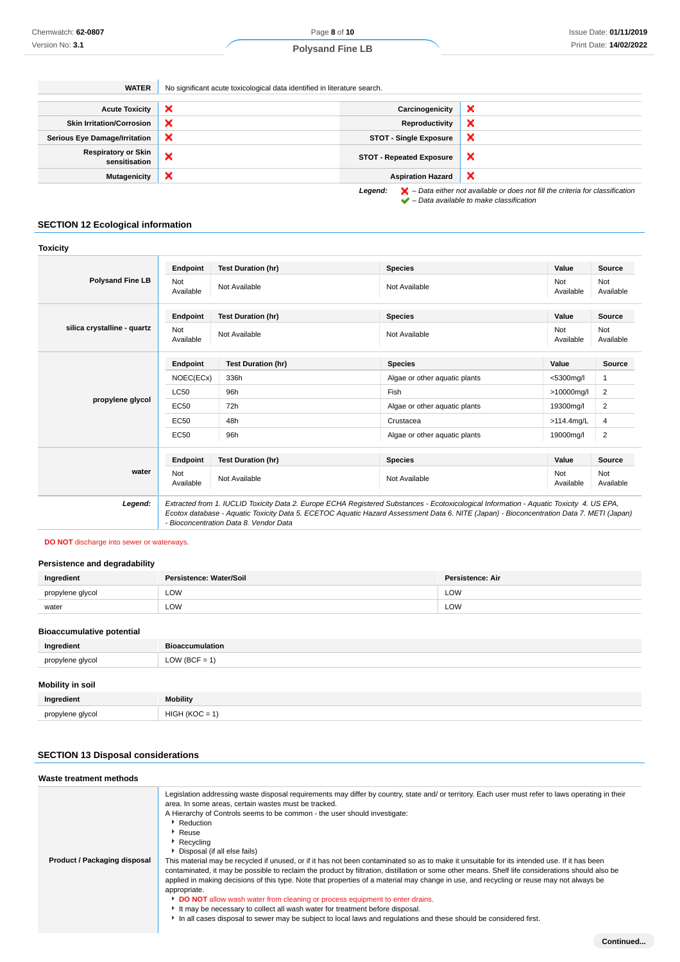**WATER** No significant acute toxicological data identified in literature search.

| <b>Acute Toxicity</b>                       | $\boldsymbol{\mathsf{x}}$ | Carcinogenicity                 | ×                                                                                                  |
|---------------------------------------------|---------------------------|---------------------------------|----------------------------------------------------------------------------------------------------|
| <b>Skin Irritation/Corrosion</b>            | $\boldsymbol{\mathsf{x}}$ | Reproductivity                  | ×                                                                                                  |
| <b>Serious Eye Damage/Irritation</b>        | ×                         | <b>STOT - Single Exposure</b>   | ×                                                                                                  |
| <b>Respiratory or Skin</b><br>sensitisation | ×                         | <b>STOT - Repeated Exposure</b> | ×                                                                                                  |
| <b>Mutagenicity</b>                         | $\boldsymbol{\mathsf{x}}$ | <b>Aspiration Hazard</b>        | ×                                                                                                  |
|                                             |                           | Legend:                         | $\blacktriangleright$ - Data either not available or does not fill the criteria for classification |

 $\blacktriangleright$  – Data available to make classification

### **SECTION 12 Ecological information**

### **Toxicity**

|                             | Endpoint                | <b>Test Duration (hr)</b>              | <b>Species</b>                                                                                                                                                                                                                                                                       | Value            | <b>Source</b>           |
|-----------------------------|-------------------------|----------------------------------------|--------------------------------------------------------------------------------------------------------------------------------------------------------------------------------------------------------------------------------------------------------------------------------------|------------------|-------------------------|
| <b>Polysand Fine LB</b>     | Not<br>Available        | Not Available                          | Not Available                                                                                                                                                                                                                                                                        | Not<br>Available | Not<br>Available        |
|                             | Endpoint                | <b>Test Duration (hr)</b>              | <b>Species</b>                                                                                                                                                                                                                                                                       | Value            | <b>Source</b>           |
| silica crystalline - quartz | <b>Not</b><br>Available | Not Available                          | Not Available                                                                                                                                                                                                                                                                        | Not<br>Available | Not<br>Available        |
|                             | Endpoint                | <b>Test Duration (hr)</b>              | <b>Species</b>                                                                                                                                                                                                                                                                       | Value            | <b>Source</b>           |
|                             | NOEC(ECx)               | 336h                                   | Algae or other aquatic plants                                                                                                                                                                                                                                                        | <5300mg/l        | 1                       |
|                             | <b>LC50</b>             | 96h                                    | Fish                                                                                                                                                                                                                                                                                 | >10000mg/l       | 2                       |
| propylene glycol            | EC50                    | 72h                                    | Algae or other aquatic plants                                                                                                                                                                                                                                                        | 19300mg/l        | 2                       |
|                             | EC50                    | 48h                                    | Crustacea                                                                                                                                                                                                                                                                            | >114.4mg/L       | 4                       |
|                             | EC50                    | 96h                                    | Algae or other aquatic plants                                                                                                                                                                                                                                                        | 19000mg/l        | $\overline{\mathbf{c}}$ |
|                             | Endpoint                | <b>Test Duration (hr)</b>              | <b>Species</b>                                                                                                                                                                                                                                                                       | Value            | Source                  |
| water                       | Not<br>Available        | Not Available                          | Not Available                                                                                                                                                                                                                                                                        | Not<br>Available | Not<br>Available        |
| Legend:                     |                         | - Bioconcentration Data 8. Vendor Data | Extracted from 1. IUCLID Toxicity Data 2. Europe ECHA Registered Substances - Ecotoxicological Information - Aquatic Toxicity 4. US EPA,<br>Ecotox database - Aquatic Toxicity Data 5. ECETOC Aquatic Hazard Assessment Data 6. NITE (Japan) - Bioconcentration Data 7. METI (Japan) |                  |                         |

### **DO NOT** discharge into sewer or waterways.

### **Persistence and degradability**

| Ingredient       | Persistence: Water/Soil | Persistence: Air |
|------------------|-------------------------|------------------|
| propylene glycol | LOW                     | LOW              |
| water            | LOW<br>____             | LOW              |
|                  |                         |                  |

### **Bioaccumulative potential**

| Ingredient       | <b>Bioaccumulation</b>                                                    |
|------------------|---------------------------------------------------------------------------|
| propylene glycol | $'$ (BCF = $\overline{ }$<br>$\bigcap M$<br>the control of the control of |
|                  |                                                                           |

# **Mobility in soil**

| Ingredient       | <b>Mobility</b>                               |
|------------------|-----------------------------------------------|
| nropylene alvcol | HIGH<br>$'$ (KOC)<br>$\overline{\phantom{0}}$ |

### **SECTION 13 Disposal considerations**

| Waste treatment methods      |                                                                                                                                                                                                                                                                                                                                                                                                                                                                                                                                                                                                                                                                                                                                                                                                                                                                                                                                                                                                                                                                                                                              |
|------------------------------|------------------------------------------------------------------------------------------------------------------------------------------------------------------------------------------------------------------------------------------------------------------------------------------------------------------------------------------------------------------------------------------------------------------------------------------------------------------------------------------------------------------------------------------------------------------------------------------------------------------------------------------------------------------------------------------------------------------------------------------------------------------------------------------------------------------------------------------------------------------------------------------------------------------------------------------------------------------------------------------------------------------------------------------------------------------------------------------------------------------------------|
| Product / Packaging disposal | Legislation addressing waste disposal requirements may differ by country, state and/ or territory. Each user must refer to laws operating in their<br>area. In some areas, certain wastes must be tracked.<br>A Hierarchy of Controls seems to be common - the user should investigate:<br>▶ Reduction<br>Reuse<br>▶ Recycling<br>▶ Disposal (if all else fails)<br>This material may be recycled if unused, or if it has not been contaminated so as to make it unsuitable for its intended use. If it has been<br>contaminated, it may be possible to reclaim the product by filtration, distillation or some other means. Shelf life considerations should also be<br>applied in making decisions of this type. Note that properties of a material may change in use, and recycling or reuse may not always be<br>appropriate.<br><b>DO NOT</b> allow wash water from cleaning or process equipment to enter drains.<br>It may be necessary to collect all wash water for treatment before disposal.<br>In all cases disposal to sewer may be subject to local laws and regulations and these should be considered first. |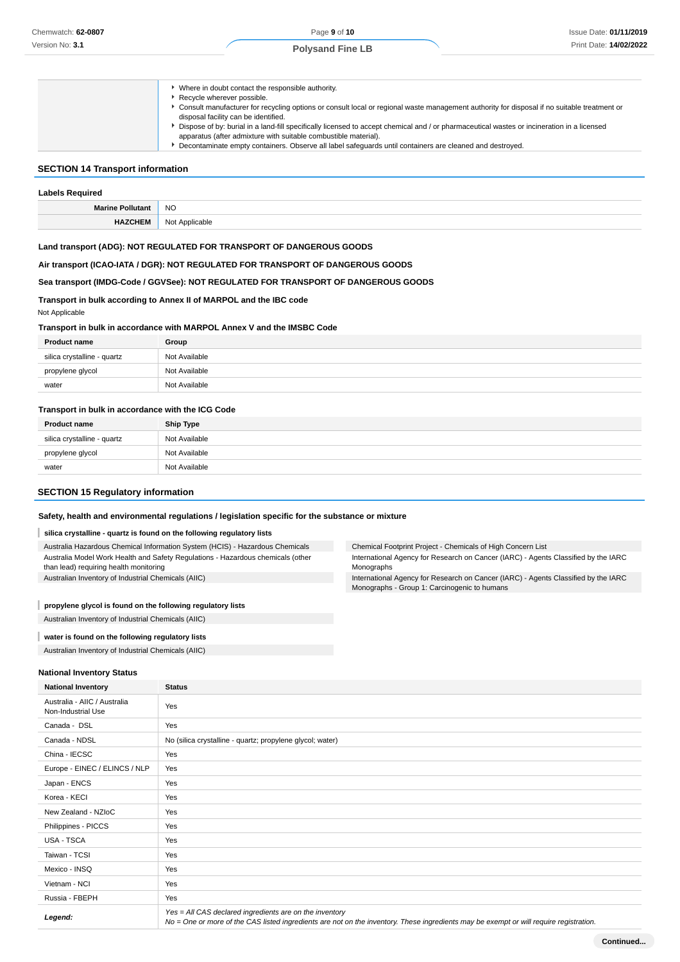| Where in doubt contact the responsible authority.                                                                                             |
|-----------------------------------------------------------------------------------------------------------------------------------------------|
| Recycle wherever possible.                                                                                                                    |
| ▶ Consult manufacturer for recycling options or consult local or regional waste management authority for disposal if no suitable treatment or |
| disposal facility can be identified.                                                                                                          |
| Dispose of by: burial in a land-fill specifically licensed to accept chemical and / or pharmaceutical wastes or incineration in a licensed    |
| apparatus (after admixture with suitable combustible material).                                                                               |
| Decontaminate empty containers. Observe all label safequards until containers are cleaned and destroyed.                                      |

### **SECTION 14 Transport information**

| <b>Labels Required</b>  |                |  |
|-------------------------|----------------|--|
| <b>Marine Pollutant</b> | <b>NO</b>      |  |
| <b>HAZCHEM</b>          | Not Applicable |  |

### **Land transport (ADG): NOT REGULATED FOR TRANSPORT OF DANGEROUS GOODS**

**Air transport (ICAO-IATA / DGR): NOT REGULATED FOR TRANSPORT OF DANGEROUS GOODS**

### **Sea transport (IMDG-Code / GGVSee): NOT REGULATED FOR TRANSPORT OF DANGEROUS GOODS**

### **Transport in bulk according to Annex II of MARPOL and the IBC code**

Not Applicable

#### **Transport in bulk in accordance with MARPOL Annex V and the IMSBC Code**

| <b>Product name</b>         | Group         |
|-----------------------------|---------------|
| silica crystalline - quartz | Not Available |
| propylene glycol            | Not Available |
| water                       | Not Available |

### **Transport in bulk in accordance with the ICG Code**

| <b>Product name</b>         | <b>Ship Type</b> |
|-----------------------------|------------------|
| silica crystalline - quartz | Not Available    |
| propylene glycol            | Not Available    |
| water                       | Not Available    |

### **SECTION 15 Regulatory information**

#### **Safety, health and environmental regulations / legislation specific for the substance or mixture**

#### I **silica crystalline - quartz is found on the following regulatory lists**

| Australia Hazardous Chemical Information System (HCIS) - Hazardous Chemicals    |
|---------------------------------------------------------------------------------|
| Australia Model Work Health and Safety Regulations - Hazardous chemicals (other |
| than lead) requiring health monitoring                                          |
| Australian Inventory of Industrial Chemicals (AIIC)                             |

Chemical Footprint Project - Chemicals of High Concern List

International Agency for Research on Cancer (IARC) - Agents Classified by the IARC Monographs

International Agency for Research on Cancer (IARC) - Agents Classified by the IARC Monographs - Group 1: Carcinogenic to humans

### **propylene glycol is found on the following regulatory lists**

Australian Inventory of Industrial Chemicals (AIIC)

#### I **water is found on the following regulatory lists**

Australian Inventory of Industrial Chemicals (AIIC)

#### **National Inventory Status**

| <b>National Inventory</b>                          | <b>Status</b>                                                                                                                                                                                     |
|----------------------------------------------------|---------------------------------------------------------------------------------------------------------------------------------------------------------------------------------------------------|
| Australia - AIIC / Australia<br>Non-Industrial Use | Yes                                                                                                                                                                                               |
| Canada - DSL                                       | Yes                                                                                                                                                                                               |
| Canada - NDSL                                      | No (silica crystalline - quartz; propylene glycol; water)                                                                                                                                         |
| China - IECSC                                      | Yes                                                                                                                                                                                               |
| Europe - EINEC / ELINCS / NLP                      | Yes                                                                                                                                                                                               |
| Japan - ENCS                                       | Yes                                                                                                                                                                                               |
| Korea - KECI                                       | Yes                                                                                                                                                                                               |
| New Zealand - NZIoC                                | Yes                                                                                                                                                                                               |
| Philippines - PICCS                                | Yes                                                                                                                                                                                               |
| USA - TSCA                                         | Yes                                                                                                                                                                                               |
| Taiwan - TCSI                                      | Yes                                                                                                                                                                                               |
| Mexico - INSQ                                      | Yes                                                                                                                                                                                               |
| Vietnam - NCI                                      | Yes                                                                                                                                                                                               |
| Russia - FBEPH                                     | Yes                                                                                                                                                                                               |
| Legend:                                            | Yes = All CAS declared ingredients are on the inventory<br>No = One or more of the CAS listed ingredients are not on the inventory. These ingredients may be exempt or will require registration. |